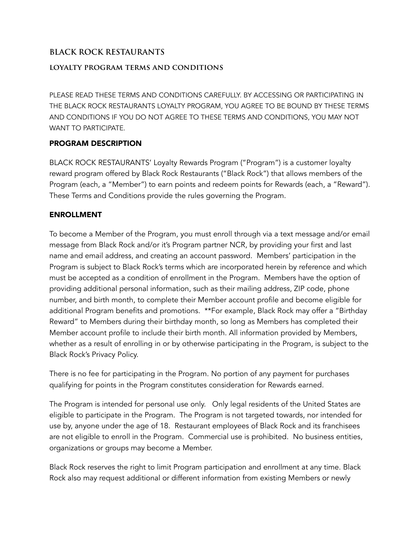# **BLACK ROCK RESTAURANTS**

### **loyalty program terms and conditions**

PLEASE READ THESE TERMS AND CONDITIONS CAREFULLY. BY ACCESSING OR PARTICIPATING IN THE BLACK ROCK RESTAURANTS LOYALTY PROGRAM, YOU AGREE TO BE BOUND BY THESE TERMS AND CONDITIONS IF YOU DO NOT AGREE TO THESE TERMS AND CONDITIONS, YOU MAY NOT WANT TO PARTICIPATE.

### PROGRAM DESCRIPTION

BLACK ROCK RESTAURANTS' Loyalty Rewards Program ("Program") is a customer loyalty reward program offered by Black Rock Restaurants ("Black Rock") that allows members of the Program (each, a "Member") to earn points and redeem points for Rewards (each, a "Reward"). These Terms and Conditions provide the rules governing the Program.

#### ENROLLMENT

To become a Member of the Program, you must enroll through via a text message and/or email message from Black Rock and/or it's Program partner NCR, by providing your first and last name and email address, and creating an account password. Members' participation in the Program is subject to Black Rock's terms which are incorporated herein by reference and which must be accepted as a condition of enrollment in the Program. Members have the option of providing additional personal information, such as their mailing address, ZIP code, phone number, and birth month, to complete their Member account profile and become eligible for additional Program benefits and promotions. \*\*For example, Black Rock may offer a "Birthday Reward" to Members during their birthday month, so long as Members has completed their Member account profile to include their birth month. All information provided by Members, whether as a result of enrolling in or by otherwise participating in the Program, is subject to the Black Rock's Privacy Policy.

There is no fee for participating in the Program. No portion of any payment for purchases qualifying for points in the Program constitutes consideration for Rewards earned.

The Program is intended for personal use only. Only legal residents of the United States are eligible to participate in the Program. The Program is not targeted towards, nor intended for use by, anyone under the age of 18. Restaurant employees of Black Rock and its franchisees are not eligible to enroll in the Program. Commercial use is prohibited. No business entities, organizations or groups may become a Member.

Black Rock reserves the right to limit Program participation and enrollment at any time. Black Rock also may request additional or different information from existing Members or newly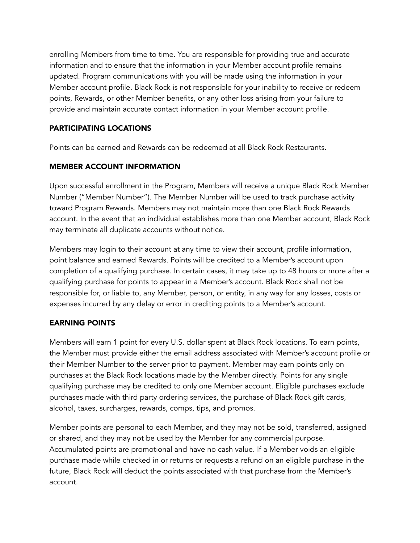enrolling Members from time to time. You are responsible for providing true and accurate information and to ensure that the information in your Member account profile remains updated. Program communications with you will be made using the information in your Member account profile. Black Rock is not responsible for your inability to receive or redeem points, Rewards, or other Member benefits, or any other loss arising from your failure to provide and maintain accurate contact information in your Member account profile.

# PARTICIPATING LOCATIONS

Points can be earned and Rewards can be redeemed at all Black Rock Restaurants.

## MEMBER ACCOUNT INFORMATION

Upon successful enrollment in the Program, Members will receive a unique Black Rock Member Number ("Member Number"). The Member Number will be used to track purchase activity toward Program Rewards. Members may not maintain more than one Black Rock Rewards account. In the event that an individual establishes more than one Member account, Black Rock may terminate all duplicate accounts without notice.

Members may login to their account at any time to view their account, profile information, point balance and earned Rewards. Points will be credited to a Member's account upon completion of a qualifying purchase. In certain cases, it may take up to 48 hours or more after a qualifying purchase for points to appear in a Member's account. Black Rock shall not be responsible for, or liable to, any Member, person, or entity, in any way for any losses, costs or expenses incurred by any delay or error in crediting points to a Member's account.

## EARNING POINTS

Members will earn 1 point for every U.S. dollar spent at Black Rock locations. To earn points, the Member must provide either the email address associated with Member's account profile or their Member Number to the server prior to payment. Member may earn points only on purchases at the Black Rock locations made by the Member directly. Points for any single qualifying purchase may be credited to only one Member account. Eligible purchases exclude purchases made with third party ordering services, the purchase of Black Rock gift cards, alcohol, taxes, surcharges, rewards, comps, tips, and promos.

Member points are personal to each Member, and they may not be sold, transferred, assigned or shared, and they may not be used by the Member for any commercial purpose. Accumulated points are promotional and have no cash value. If a Member voids an eligible purchase made while checked in or returns or requests a refund on an eligible purchase in the future, Black Rock will deduct the points associated with that purchase from the Member's account.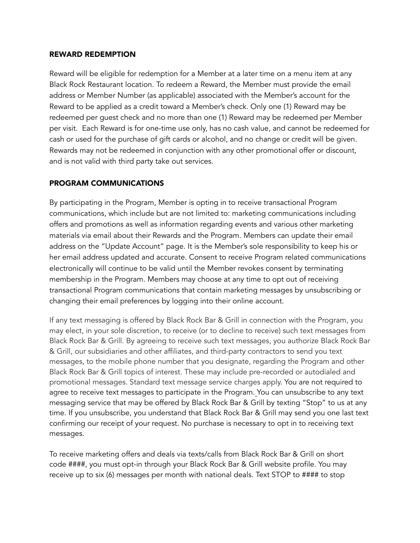#### REWARD REDEMPTION

Reward will be eligible for redemption for a Member at a later time on a menu item at any Black Rock Restaurant location. To redeem a Reward, the Member must provide the email address or Member Number (as applicable) associated with the Member's account for the Reward to be applied as a credit toward a Member's check. Only one (1) Reward may be redeemed per guest check and no more than one (1) Reward may be redeemed per Member per visit. Each Reward is for one-time use only, has no cash value, and cannot be redeemed for cash or used for the purchase of gift cards or alcohol, and no change or credit will be given. Rewards may not be redeemed in conjunction with any other promotional offer or discount, and is not valid with third party take out services.

## PROGRAM COMMUNICATIONS

By participating in the Program, Member is opting in to receive transactional Program communications, which include but are not limited to: marketing communications including offers and promotions as well as information regarding events and various other marketing materials via email about their Rewards and the Program. Members can update their email address on the "Update Account" page. It is the Member's sole responsibility to keep his or her email address updated and accurate. Consent to receive Program related communications electronically will continue to be valid until the Member revokes consent by terminating membership in the Program. Members may choose at any time to opt out of receiving transactional Program communications that contain marketing messages by unsubscribing or changing their email preferences by logging into their online account.

If any text messaging is offered by Black Rock Bar & Grill in connection with the Program, you may elect, in your sole discretion, to receive (or to decline to receive) such text messages from Black Rock Bar & Grill. By agreeing to receive such text messages, you authorize Black Rock Bar & Grill, our subsidiaries and other affiliates, and third-party contractors to send you text messages, to the mobile phone number that you designate, regarding the Program and other Black Rock Bar & Grill topics of interest. These may include pre-recorded or autodialed and promotional messages. Standard text message service charges apply. You are not required to agree to receive text messages to participate in the Program. You can unsubscribe to any text messaging service that may be offered by Black Rock Bar & Grill by texting "Stop" to us at any time. If you unsubscribe, you understand that Black Rock Bar & Grill may send you one last text confirming our receipt of your request. No purchase is necessary to opt in to receiving text messages.

To receive marketing offers and deals via texts/calls from Black Rock Bar & Grill on short code ####, you must opt-in through your Black Rock Bar & Grill website profile. You may receive up to six (6) messages per month with national deals. Text STOP to #### to stop